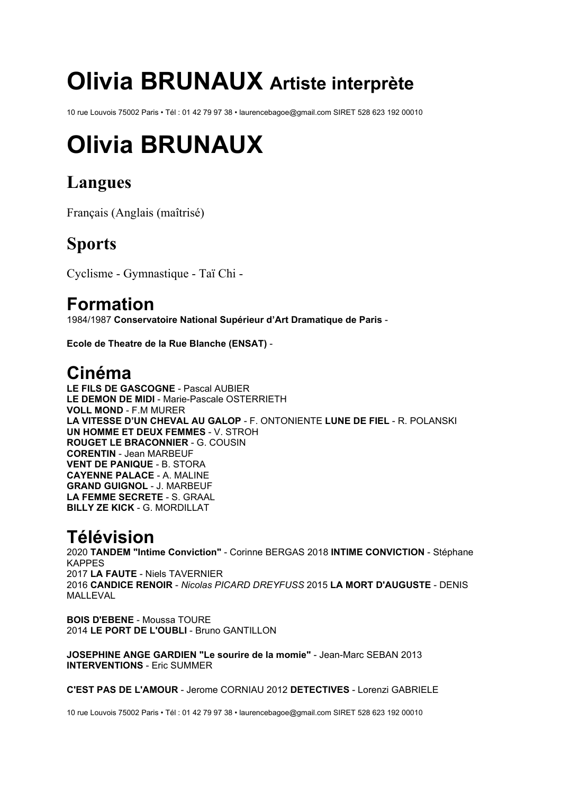# **Olivia BRUNAUX Artiste interprète**

10 rue Louvois 75002 Paris • Tél : 01 42 79 97 38 • laurencebagoe@gmail.com SIRET 528 623 192 00010

# **Olivia BRUNAUX**

# **Langues**

Français (Anglais (maîtrisé)

## **Sports**

Cyclisme - Gymnastique - Taï Chi -

#### **Formation**

1984/1987 **Conservatoire National Supérieur d'Art Dramatique de Paris** -

**Ecole de Theatre de la Rue Blanche (ENSAT)** -

### **Cinéma**

**LE FILS DE GASCOGNE** - Pascal AUBIER **LE DEMON DE MIDI** - Marie-Pascale OSTERRIETH **VOLL MOND** - F.M MURER **LA VITESSE D'UN CHEVAL AU GALOP** - F. ONTONIENTE **LUNE DE FIEL** - R. POLANSKI **UN HOMME ET DEUX FEMMES** - V. STROH **ROUGET LE BRACONNIER** - G. COUSIN **CORENTIN** - Jean MARBEUF **VENT DE PANIQUE** - B. STORA **CAYENNE PALACE** - A. MALINE **GRAND GUIGNOL** - J. MARBEUF **LA FEMME SECRETE** - S. GRAAL **BILLY ZE KICK** - G. MORDILLAT

## **Télévision**

2020 **TANDEM "Intime Conviction"** - Corinne BERGAS 2018 **INTIME CONVICTION** - Stéphane KAPPES 2017 **LA FAUTE** - Niels TAVERNIER 2016 **CANDICE RENOIR** - *Nicolas PICARD DREYFUSS* 2015 **LA MORT D'AUGUSTE** - DENIS MALLEVAL

**BOIS D'EBENE** - Moussa TOURE 2014 **LE PORT DE L'OUBLI** - Bruno GANTILLON

**JOSEPHINE ANGE GARDIEN "Le sourire de la momie"** - Jean-Marc SEBAN 2013 **INTERVENTIONS** - Eric SUMMER

**C'EST PAS DE L'AMOUR** - Jerome CORNIAU 2012 **DETECTIVES** - Lorenzi GABRIELE

10 rue Louvois 75002 Paris • Tél : 01 42 79 97 38 • laurencebagoe@gmail.com SIRET 528 623 192 00010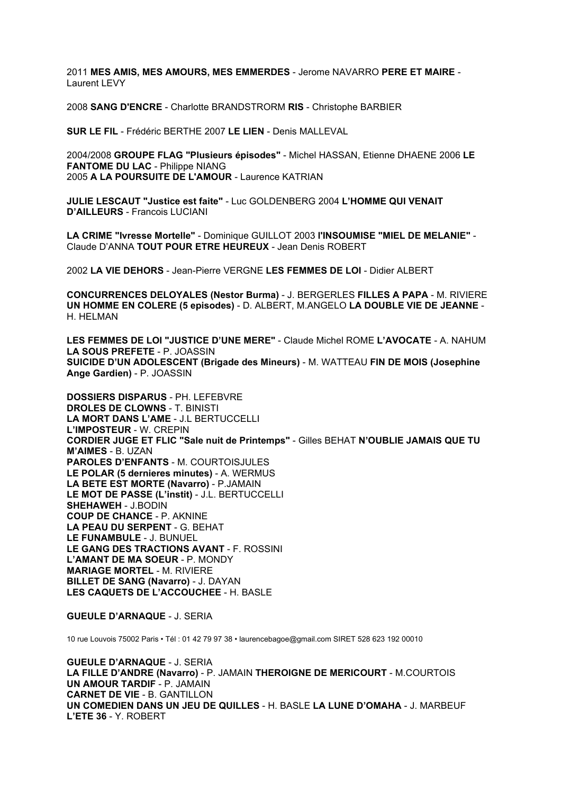2011 **MES AMIS, MES AMOURS, MES EMMERDES** - Jerome NAVARRO **PERE ET MAIRE** - Laurent LEVY

2008 **SANG D'ENCRE** - Charlotte BRANDSTRORM **RIS** - Christophe BARBIER

**SUR LE FIL** - Frédéric BERTHE 2007 **LE LIEN** - Denis MALLEVAL

2004/2008 **GROUPE FLAG "Plusieurs épisodes"** - Michel HASSAN, Etienne DHAENE 2006 **LE FANTOME DU LAC** - Philippe NIANG 2005 **A LA POURSUITE DE L'AMOUR** - Laurence KATRIAN

**JULIE LESCAUT "Justice est faite"** - Luc GOLDENBERG 2004 **L'HOMME QUI VENAIT D'AILLEURS** - Francois LUCIANI

**LA CRIME "Ivresse Mortelle"** - Dominique GUILLOT 2003 **l'INSOUMISE "MIEL DE MELANIE"** - Claude D'ANNA **TOUT POUR ETRE HEUREUX** - Jean Denis ROBERT

2002 **LA VIE DEHORS** - Jean-Pierre VERGNE **LES FEMMES DE LOI** - Didier ALBERT

**CONCURRENCES DELOYALES (Nestor Burma)** - J. BERGERLES **FILLES A PAPA** - M. RIVIERE **UN HOMME EN COLERE (5 episodes)** - D. ALBERT, M.ANGELO **LA DOUBLE VIE DE JEANNE** - H. HELMAN

**LES FEMMES DE LOI "JUSTICE D'UNE MERE"** - Claude Michel ROME **L'AVOCATE** - A. NAHUM **LA SOUS PREFETE** - P. JOASSIN **SUICIDE D'UN ADOLESCENT (Brigade des Mineurs)** - M. WATTEAU **FIN DE MOIS (Josephine Ange Gardien)** - P. JOASSIN

**DOSSIERS DISPARUS** - PH. LEFEBVRE **DROLES DE CLOWNS** - T. BINISTI **LA MORT DANS L'AME** - J.L BERTUCCELLI **L'IMPOSTEUR** - W. CREPIN **CORDIER JUGE ET FLIC "Sale nuit de Printemps"** - Gilles BEHAT **N'OUBLIE JAMAIS QUE TU M'AIMES** - B. UZAN **PAROLES D'ENFANTS** - M. COURTOISJULES **LE POLAR (5 dernieres minutes)** - A. WERMUS **LA BETE EST MORTE (Navarro)** - P.JAMAIN **LE MOT DE PASSE (L'instit)** - J.L. BERTUCCELLI **SHEHAWEH** - J.BODIN **COUP DE CHANCE** - P. AKNINE **LA PEAU DU SERPENT** - G. BEHAT **LE FUNAMBULE** - J. BUNUEL **LE GANG DES TRACTIONS AVANT** - F. ROSSINI **L'AMANT DE MA SOEUR** - P. MONDY **MARIAGE MORTEL** - M. RIVIERE **BILLET DE SANG (Navarro)** - J. DAYAN **LES CAQUETS DE L'ACCOUCHEE** - H. BASLE

**GUEULE D'ARNAQUE** - J. SERIA

10 rue Louvois 75002 Paris • Tél : 01 42 79 97 38 • laurencebagoe@gmail.com SIRET 528 623 192 00010

**GUEULE D'ARNAQUE** - J. SERIA **LA FILLE D'ANDRE (Navarro)** - P. JAMAIN **THEROIGNE DE MERICOURT** - M.COURTOIS **UN AMOUR TARDIF** - P. JAMAIN **CARNET DE VIE** - B. GANTILLON **UN COMEDIEN DANS UN JEU DE QUILLES** - H. BASLE **LA LUNE D'OMAHA** - J. MARBEUF **L'ETE 36** - Y. ROBERT